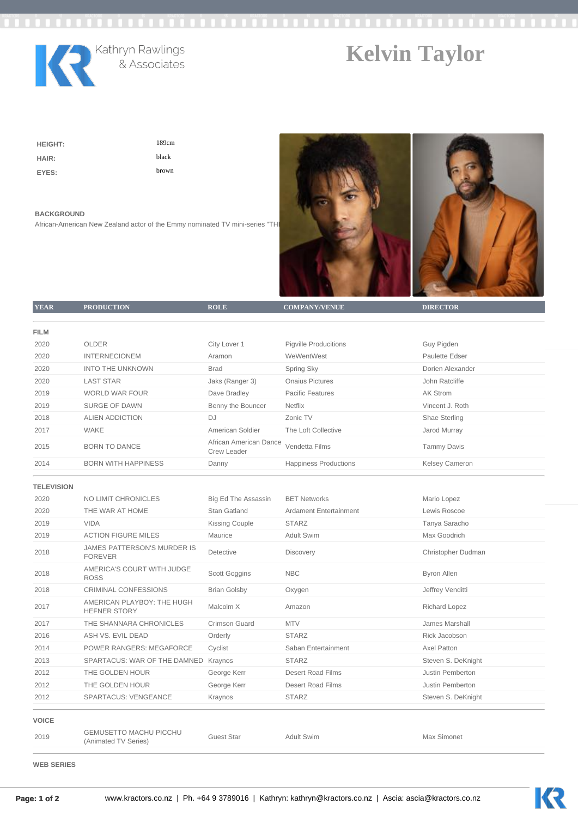



Kathryn Rawlings<br>& Associates

## **Kelvin Taylor**

**HEIGHT:** 189cm **HAIR:** black **EYES:** brown

## **BACKGROUND**

African-American New Zealand actor of the Emmy nominated TV mini-series "THI



| <b>YEAR</b>       | <b>PRODUCTION</b>                                     | <b>ROLE</b>                           | <b>COMPANY/VENUE</b>          | <b>DIRECTOR</b>      |
|-------------------|-------------------------------------------------------|---------------------------------------|-------------------------------|----------------------|
|                   |                                                       |                                       |                               |                      |
| <b>FILM</b>       |                                                       |                                       |                               |                      |
| 2020              | <b>OLDER</b>                                          | City Lover 1                          | <b>Pigville Producitions</b>  | Guy Pigden           |
| 2020              | <b>INTERNECIONEM</b>                                  | Aramon                                | WeWentWest                    | Paulette Edser       |
| 2020              | <b>INTO THE UNKNOWN</b>                               | <b>Brad</b>                           | Spring Sky                    | Dorien Alexander     |
| 2020              | <b>LAST STAR</b>                                      | Jaks (Ranger 3)                       | <b>Onaius Pictures</b>        | John Ratcliffe       |
| 2019              | <b>WORLD WAR FOUR</b>                                 | Dave Bradley                          | <b>Pacific Features</b>       | <b>AK Strom</b>      |
| 2019              | <b>SURGE OF DAWN</b>                                  | Benny the Bouncer                     | <b>Netflix</b>                | Vincent J. Roth      |
| 2018              | <b>ALIEN ADDICTION</b>                                | <b>DJ</b>                             | Zonic TV                      | Shae Sterling        |
| 2017              | WAKE                                                  | American Soldier                      | The Loft Collective           | Jarod Murray         |
| 2015              | <b>BORN TO DANCE</b>                                  | African American Dance<br>Crew Leader | Vendetta Films                | <b>Tammy Davis</b>   |
| 2014              | <b>BORN WITH HAPPINESS</b>                            | Danny                                 | <b>Happiness Productions</b>  | Kelsey Cameron       |
| <b>TELEVISION</b> |                                                       |                                       |                               |                      |
| 2020              | NO LIMIT CHRONICLES                                   | <b>Big Ed The Assassin</b>            | <b>BET Networks</b>           | Mario Lopez          |
| 2020              | THE WAR AT HOME                                       | Stan Gatland                          | <b>Ardament Entertainment</b> | Lewis Roscoe         |
| 2019              | <b>VIDA</b>                                           | <b>Kissing Couple</b>                 | <b>STARZ</b>                  | Tanya Saracho        |
| 2019              | <b>ACTION FIGURE MILES</b>                            | Maurice                               | <b>Adult Swim</b>             | Max Goodrich         |
|                   | JAMES PATTERSON'S MURDER IS                           |                                       |                               |                      |
| 2018              | <b>FOREVER</b>                                        | Detective                             | Discovery                     | Christopher Dudman   |
| 2018              | AMERICA'S COURT WITH JUDGE<br><b>ROSS</b>             | Scott Goggins                         | <b>NBC</b>                    | <b>Byron Allen</b>   |
| 2018              | <b>CRIMINAL CONFESSIONS</b>                           | <b>Brian Golsby</b>                   | Oxygen                        | Jeffrey Venditti     |
| 2017              | AMERICAN PLAYBOY: THE HUGH<br><b>HEFNER STORY</b>     | Malcolm X                             | Amazon                        | <b>Richard Lopez</b> |
| 2017              | THE SHANNARA CHRONICLES                               | <b>Crimson Guard</b>                  | <b>MTV</b>                    | James Marshall       |
| 2016              | ASH VS. EVIL DEAD                                     | Orderly                               | <b>STARZ</b>                  | Rick Jacobson        |
| 2014              | POWER RANGERS: MEGAFORCE                              | Cyclist                               | Saban Entertainment           | Axel Patton          |
| 2013              | SPARTACUS: WAR OF THE DAMNED Kraynos                  |                                       | <b>STARZ</b>                  | Steven S. DeKnight   |
| 2012              | THE GOLDEN HOUR                                       | George Kerr                           | <b>Desert Road Films</b>      | Justin Pemberton     |
| 2012              | THE GOLDEN HOUR                                       | George Kerr                           | <b>Desert Road Films</b>      | Justin Pemberton     |
| 2012              | <b>SPARTACUS: VENGEANCE</b>                           | Kraynos                               | <b>STARZ</b>                  | Steven S. DeKnight   |
| <b>VOICE</b>      |                                                       |                                       |                               |                      |
| 2019              | <b>GEMUSETTO MACHU PICCHU</b><br>(Animated TV Series) | <b>Guest Star</b>                     | <b>Adult Swim</b>             | Max Simonet          |
|                   |                                                       |                                       |                               |                      |

**WEB SERIES**